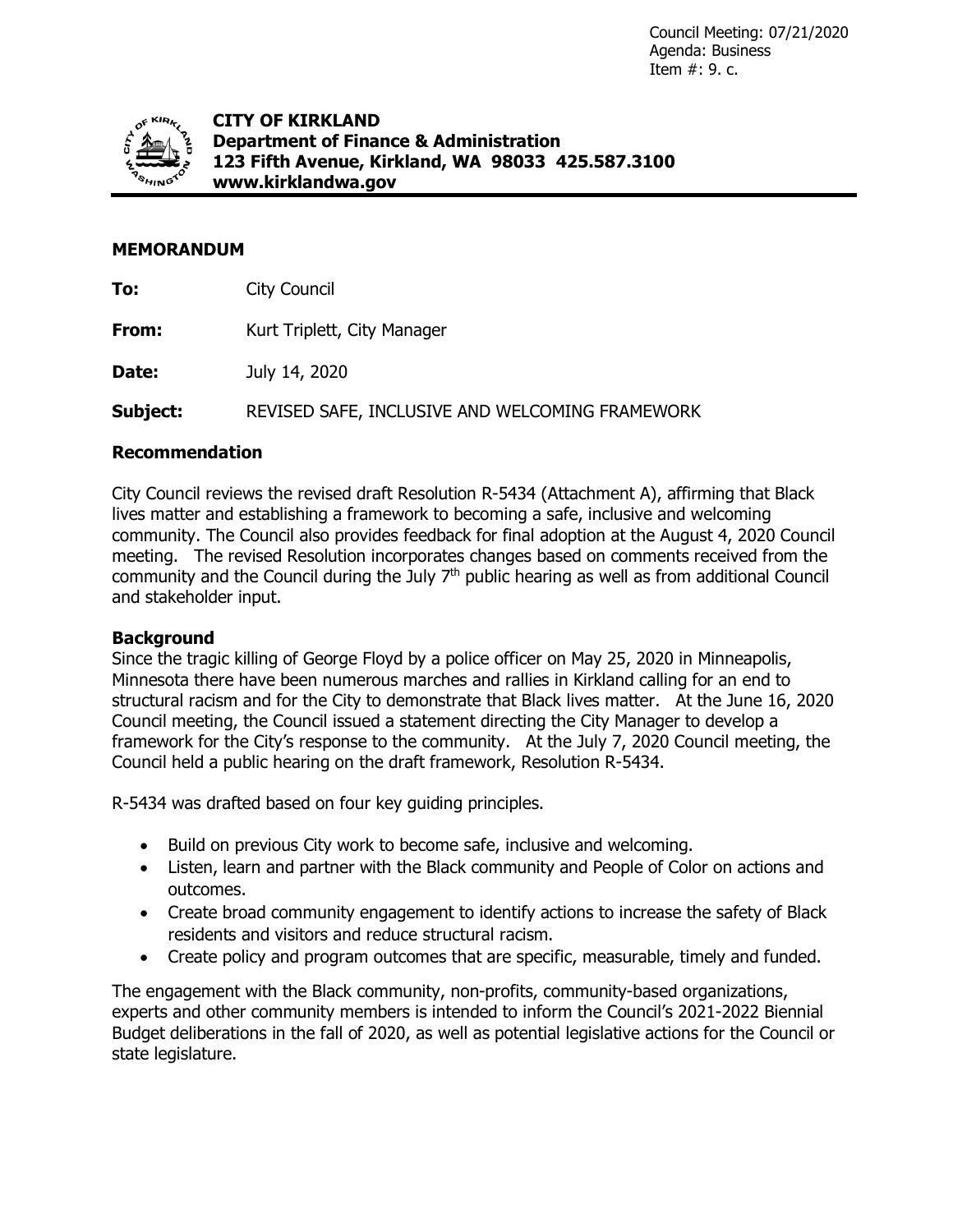Council Meeting: 07/21/2020 Agenda: Business Item #: 9. c.



**CITY OF KIRKLAND Department of Finance & Administration 123 Fifth Avenue, Kirkland, WA 98033 425.587.3100 www.kirklandwa.gov**

# **MEMORANDUM**

**To:** City Council

**From:** Kurt Triplett, City Manager

**Date:** July 14, 2020

**Subject:** REVISED SAFE, INCLUSIVE AND WELCOMING FRAMEWORK

## **Recommendation**

City Council reviews the revised draft Resolution R-5434 (Attachment A), affirming that Black lives matter and establishing a framework to becoming a safe, inclusive and welcoming community. The Council also provides feedback for final adoption at the August 4, 2020 Council meeting. The revised Resolution incorporates changes based on comments received from the community and the Council during the July 7<sup>th</sup> public hearing as well as from additional Council and stakeholder input.

## **Background**

Since the tragic killing of George Floyd by a police officer on May 25, 2020 in Minneapolis, Minnesota there have been numerous marches and rallies in Kirkland calling for an end to structural racism and for the City to demonstrate that Black lives matter. At the June 16, 2020 Council meeting, the Council issued a statement directing the City Manager to develop a framework for the City's response to the community. At the July 7, 2020 Council meeting, the Council held a public hearing on the draft framework, Resolution R-5434.

R-5434 was drafted based on four key guiding principles.

- Build on previous City work to become safe, inclusive and welcoming.
- Listen, learn and partner with the Black community and People of Color on actions and outcomes.
- Create broad community engagement to identify actions to increase the safety of Black residents and visitors and reduce structural racism.
- Create policy and program outcomes that are specific, measurable, timely and funded.

The engagement with the Black community, non-profits, community-based organizations, experts and other community members is intended to inform the Council's 2021-2022 Biennial Budget deliberations in the fall of 2020, as well as potential legislative actions for the Council or state legislature.